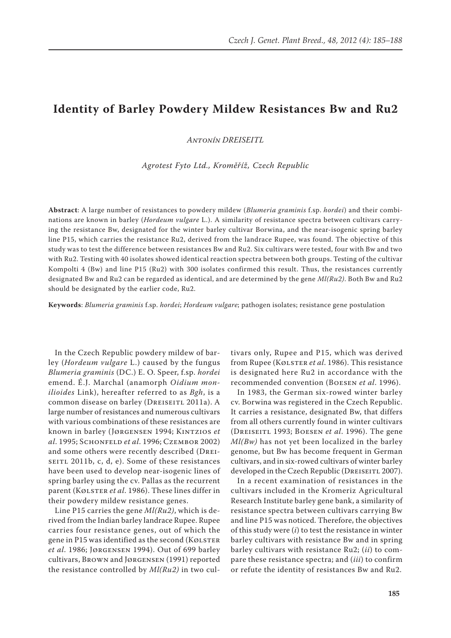# **Identity of Barley Powdery Mildew Resistances Bw and Ru2**

*Antonín DREISEITL*

*Agrotest Fyto Ltd., Kroměříž, Czech Republic*

**Abstract**: A large number of resistances to powdery mildew (*Blumeria graminis* f.sp. *hordei*) and their combinations are known in barley (*Hordeum vulgare* L.). A similarity of resistance spectra between cultivars carrying the resistance Bw, designated for the winter barley cultivar Borwina, and the near-isogenic spring barley line P15, which carries the resistance Ru2, derived from the landrace Rupee, was found. The objective of this study was to test the difference between resistances Bw and Ru2. Six cultivars were tested, four with Bw and two with Ru2. Testing with 40 isolates showed identical reaction spectra between both groups. Testing of the cultivar Kompolti 4 (Bw) and line P15 (Ru2) with 300 isolates confirmed this result. Thus, the resistances currently designated Bw and Ru2 can be regarded as identical, and are determined by the gene *Ml(Ru2)*. Both Bw and Ru2 should be designated by the earlier code, Ru2.

**Keywords**: *Blumeria graminis* f.sp. *hordei*; *Hordeum vulgare*; pathogen isolates; resistance gene postulation

In the Czech Republic powdery mildew of barley (*Hordeum vulgare* L.) caused by the fungus *Blumeria graminis* (DC.) E. O. Speer, f.sp. *hordei* emend. É.J. Marchal (anamorph *Oidium monilioides* Link), hereafter referred to as *Bgh*, is a common disease on barley (DREISEITL 2011a). A large number of resistances and numerous cultivars with various combinations of these resistances are known in barley (Jørgensen 1994; Kintzios *et al*. 1995; Schonfeld *et al*. 1996; Czembor 2002) and some others were recently described (Dreiseitl 2011b, c, d, e). Some of these resistances have been used to develop near-isogenic lines of spring barley using the cv. Pallas as the recurrent parent (Kølster *et al*. 1986). These lines differ in their powdery mildew resistance genes.

Line P15 carries the gene *Ml(Ru2)*, which is derived from the Indian barley landrace Rupee. Rupee carries four resistance genes, out of which the gene in  $P15$  was identified as the second (Kølster *et al*. 1986; Jørgensen 1994). Out of 699 barley cultivars, Brown and Jørgensen (1991) reported the resistance controlled by *Ml(Ru2)* in two cul-

tivars only, Rupee and P15, which was derived from Rupee (Kølster *et al.* 1986). This resistance is designated here Ru2 in accordance with the recommended convention (Boesen *et al*. 1996).

In 1983, the German six-rowed winter barley cv. Borwina was registered in the Czech Republic. It carries a resistance, designated Bw, that differs from all others currently found in winter cultivars (Dreiseitl 1993; Boesen *et al*. 1996). The gene *Ml(Bw)* has not yet been localized in the barley genome, but Bw has become frequent in German cultivars, and in six-rowed cultivars of winter barley developed in the Czech Republic (DREISEITL 2007).

In a recent examination of resistances in the cultivars included in the Kromeriz Agricultural Research Institute barley gene bank, a similarity of resistance spectra between cultivars carrying Bw and line P15 was noticed. Therefore, the objectives of this study were (*i*) to test the resistance in winter barley cultivars with resistance Bw and in spring barley cultivars with resistance Ru2; (*ii*) to compare these resistance spectra; and (*iii*) to confirm or refute the identity of resistances Bw and Ru2.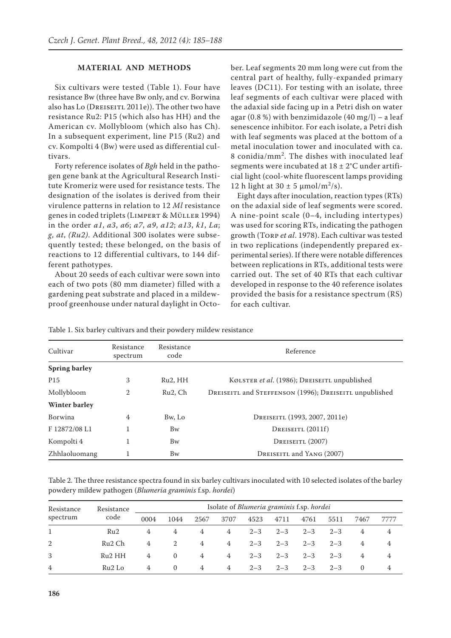## **MATERIAL AND METHODS**

Six cultivars were tested (Table 1). Four have resistance Bw (three have Bw only, and cv. Borwina also has Lo (DREISEITL 2011e)). The other two have resistance Ru2: P15 (which also has HH) and the American cv. Mollybloom (which also has Ch). In a subsequent experiment, line P15 (Ru2) and cv. Kompolti 4 (Bw) were used as differential cultivars.

Forty reference isolates of *Bgh* held in the pathogen gene bank at the Agricultural Research Institute Kromeriz were used for resistance tests. The designation of the isolates is derived from their virulence patterns in relation to 12 *Ml* resistance genes in coded triplets (Limpert & Müller 1994) in the order *a1*, *a3*, *a6*; *a7*, *a9*, *a12*; *a13*, *k1*, *La*; *g*, *at*, *(Ru2)*. Additional 300 isolates were subsequently tested; these belonged, on the basis of reactions to 12 differential cultivars, to 144 different pathotypes.

About 20 seeds of each cultivar were sown into each of two pots (80 mm diameter) filled with a gardening peat substrate and placed in a mildewproof greenhouse under natural daylight in October. Leaf segments 20 mm long were cut from the central part of healthy, fully-expanded primary leaves (DC11). For testing with an isolate, three leaf segments of each cultivar were placed with the adaxial side facing up in a Petri dish on water agar  $(0.8\%)$  with benzimidazole  $(40 \text{ mg/l})$  – a leaf senescence inhibitor. For each isolate, a Petri dish with leaf segments was placed at the bottom of a metal inoculation tower and inoculated with ca. 8 conidia/mm<sup>2</sup> . The dishes with inoculated leaf segments were incubated at  $18 \pm 2$ °C under artificial light (cool-white fluorescent lamps providing 12 h light at  $30 \pm 5 \mu \text{mol/m}^2/\text{s}$ ).

Eight days after inoculation, reaction types (RTs) on the adaxial side of leaf segments were scored. A nine-point scale (0–4, including intertypes) was used for scoring RTs, indicating the pathogen growth (Torp *et al*. 1978). Each cultivar was tested in two replications (independently prepared experimental series). If there were notable differences between replications in RTs, additional tests were carried out. The set of 40 RTs that each cultivar developed in response to the 40 reference isolates provided the basis for a resistance spectrum (RS) for each cultivar.

| Cultivar             | Resistance<br>spectrum | Resistance<br>code   | Reference                                              |  |  |  |
|----------------------|------------------------|----------------------|--------------------------------------------------------|--|--|--|
| <b>Spring barley</b> |                        |                      |                                                        |  |  |  |
| P <sub>15</sub>      | 3                      | Ru <sub>2</sub> , HH | KØLSTER et al. (1986); DREISEITL unpublished           |  |  |  |
| Mollybloom           | 2                      | Ru <sub>2</sub> , Ch | DREISEITL and STEFFENSON (1996); DREISEITL unpublished |  |  |  |
| <b>Winter barley</b> |                        |                      |                                                        |  |  |  |
| <b>Borwina</b>       | 4                      | Bw, Lo               | DREISEITL (1993, 2007, 2011e)                          |  |  |  |
| F 12872/08 L1        |                        | Bw                   | DREISEITL $(2011f)$                                    |  |  |  |
| Kompolti 4           |                        | Bw                   | DREISEITL (2007)                                       |  |  |  |
| Zhhlaoluomang        |                        | Bw                   | DREISEITL and YANG (2007)                              |  |  |  |

Table 1. Six barley cultivars and their powdery mildew resistance

Table 2. The three resistance spectra found in six barley cultivars inoculated with 10 selected isolates of the barley powdery mildew pathogen (*Blumeria graminis* f.sp. *hordei*)

| Resistance<br>spectrum | Resistance         | Isolate of Blumeria graminis f.sp. hordei |          |      |      |         |         |         |         |          |      |
|------------------------|--------------------|-------------------------------------------|----------|------|------|---------|---------|---------|---------|----------|------|
|                        | code               | 0004                                      | 1044     | 2567 | 3707 | 4523    | 4711    | 4761    | 5511    | 7467     | 7777 |
|                        | Ru2                | 4                                         | 4        | 4    | 4    | $2 - 3$ | $2 - 3$ | $2 - 3$ | $2 - 3$ | 4        | 4    |
| 2                      | Ru <sub>2</sub> Ch | 4                                         | 2        | 4    | 4    | $2 - 3$ | $2 - 3$ | $2 - 3$ | $2 - 3$ | 4        | 4    |
| 3                      | Ru2HH              | 4                                         | $\Omega$ | 4    | 4    | $2 - 3$ | $2 - 3$ | $2 - 3$ | $2 - 3$ | 4        | 4    |
| 4                      | Ru <sub>2</sub> Lo | 4                                         | $\Omega$ | 4    | 4    | $2 - 3$ | $2 - 3$ | $2 - 3$ | $2 - 3$ | $\Omega$ | 4    |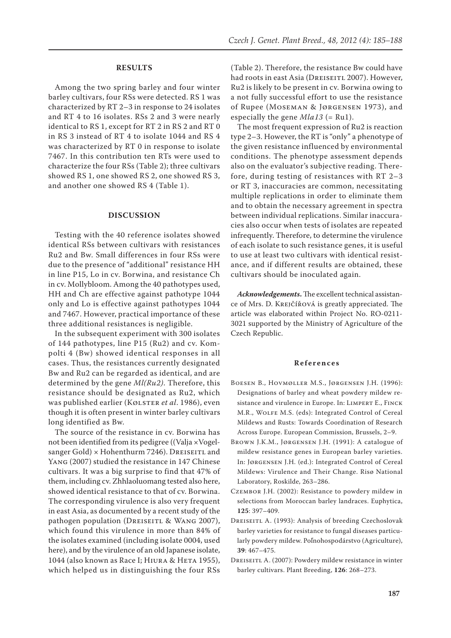## **RESULTS**

Among the two spring barley and four winter barley cultivars, four RSs were detected. RS 1 was characterized by RT 2–3 in response to 24 isolates and RT 4 to 16 isolates. RSs 2 and 3 were nearly identical to RS 1, except for RT 2 in RS 2 and RT 0 in RS 3 instead of RT 4 to isolate 1044 and RS 4 was characterized by RT 0 in response to isolate 7467. In this contribution ten RTs were used to characterize the four RSs (Table 2); three cultivars showed RS 1, one showed RS 2, one showed RS 3, and another one showed RS 4 (Table 1).

## **DISCUSSION**

Testing with the 40 reference isolates showed identical RSs between cultivars with resistances Ru2 and Bw. Small differences in four RSs were due to the presence of "additional" resistance HH in line P15, Lo in cv. Borwina, and resistance Ch in cv. Mollybloom. Among the 40 pathotypes used, HH and Ch are effective against pathotype 1044 only and Lo is effective against pathotypes 1044 and 7467. However, practical importance of these three additional resistances is negligible.

In the subsequent experiment with 300 isolates of 144 pathotypes, line P15 (Ru2) and cv. Kompolti 4 (Bw) showed identical responses in all cases. Thus, the resistances currently designated Bw and Ru2 can be regarded as identical, and are determined by the gene *Ml(Ru2)*. Therefore, this resistance should be designated as Ru2, which was published earlier (Kølster *et al*. 1986), even though it is often present in winter barley cultivars long identified as Bw.

The source of the resistance in cv. Borwina has not been identified from its pedigree ((Valja ×Vogelsanger Gold)  $\times$  Hohenthurm 7246). DREISEITL and Yang (2007) studied the resistance in 147 Chinese cultivars. It was a big surprise to find that 47% of them, including cv. Zhhlaoluomang tested also here, showed identical resistance to that of cv. Borwina. The corresponding virulence is also very frequent in east Asia, as documented by a recent study of the pathogen population (DREISEITL & WANG 2007), which found this virulence in more than 84% of the isolates examined (including isolate 0004, used here), and by the virulence of an old Japanese isolate, 1044 (also known as Race I; HIURA & HETA 1955), which helped us in distinguishing the four RSs

(Table 2). Therefore, the resistance Bw could have had roots in east Asia (DREISEITL 2007). However, Ru2 is likely to be present in cv. Borwina owing to a not fully successful effort to use the resistance of Rupee (Moseman & Jørgensen 1973), and especially the gene *Mla13* (= Ru1).

The most frequent expression of Ru2 is reaction type 2–3. However, the RT is "only" a phenotype of the given resistance influenced by environmental conditions. The phenotype assessment depends also on the evaluator's subjective reading. Therefore, during testing of resistances with RT 2–3 or RT 3, inaccuracies are common, necessitating multiple replications in order to eliminate them and to obtain the necessary agreement in spectra between individual replications. Similar inaccuracies also occur when tests of isolates are repeated infrequently. Therefore, to determine the virulence of each isolate to such resistance genes, it is useful to use at least two cultivars with identical resistance, and if different results are obtained, these cultivars should be inoculated again.

*Acknowledgements***.** The excellent technical assistance of Mrs. D. Krejčířová is greatly appreciated. The article was elaborated within Project No. RO-0211- 3021 supported by the Ministry of Agriculture of the Czech Republic.

## **References**

- Boesen B., Hovmøller M.S., Jørgensen J.H. (1996): Designations of barley and wheat powdery mildew resistance and virulence in Europe. In: LIMPERT E., FINCK M.R., Wolfe M.S. (eds): Integrated Control of Cereal Mildews and Rusts: Towards Coordination of Research Across Europe. European Commission, Brussels, 2–9.
- Brown J.K.M., Jørgensen J.H. (1991): A catalogue of mildew resistance genes in European barley varieties. In: Jørgensen J.H. (ed.): Integrated Control of Cereal Mildews: Virulence and Their Change. Risø National Laboratory, Roskilde, 263–286.
- Czembor J.H. (2002): Resistance to powdery mildew in selections from Moroccan barley landraces. Euphytica, **125**: 397–409.
- Dreiseitl A. (1993): Analysis of breeding Czechoslovak barley varieties for resistance to fungal diseases particularly powdery mildew. Poľnohospodárstvo (Agriculture), **39**: 467–475.
- DREISEITL A. (2007): Powdery mildew resistance in winter barley cultivars. Plant Breeding, **126**: 268–273.